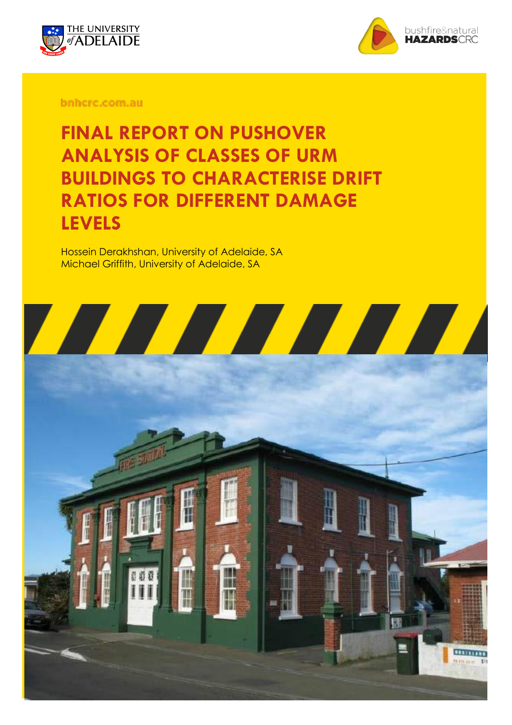



bnhcrc.com.au

**FINAL REPORT ON PUSHOVER ANALYSIS OF CLASSES OF URM BUILDINGS TO CHARACTERISE DRIFT RATIOS FOR DIFFERENT DAMAGE LEVELS**

Hossein Derakhshan, University of Adelaide, SA Michael Griffith, University of Adelaide, SA